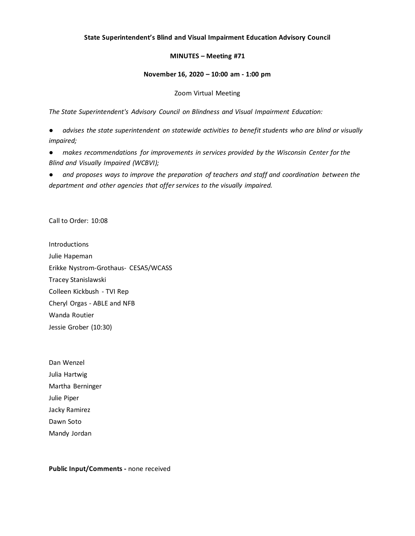## **State Superintendent's Blind and Visual Impairment Education Advisory Council**

## **MINUTES – Meeting #71**

### **November 16, 2020 – 10:00 am - 1:00 pm**

#### Zoom Virtual Meeting

*The State Superintendent's Advisory Council on Blindness and Visual Impairment Education:*

advises the state superintendent on statewide activities to benefit students who are blind or visually *impaired;*

● *makes recommendations for improvements in services provided by the Wisconsin Center for the Blind and Visually Impaired (WCBVI);*

and proposes ways to improve the preparation of teachers and staff and coordination between the *department and other agencies that offer services to the visually impaired.*

Call to Order: 10:08

**Introductions** Julie Hapeman Erikke Nystrom-Grothaus- CESA5/WCASS Tracey Stanislawski Colleen Kickbush - TVI Rep Cheryl Orgas - ABLE and NFB Wanda Routier Jessie Grober (10:30)

Dan Wenzel Julia Hartwig Martha Berninger Julie Piper Jacky Ramirez Dawn Soto Mandy Jordan

**Public Input/Comments -** none received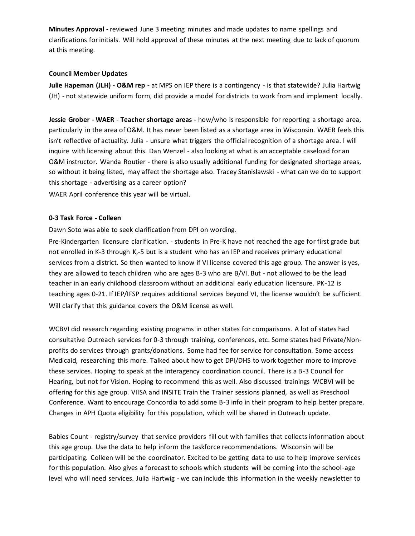**Minutes Approval -** reviewed June 3 meeting minutes and made updates to name spellings and clarifications for initials. Will hold approval of these minutes at the next meeting due to lack of quorum at this meeting.

## **Council Member Updates**

**Julie Hapeman (JLH) - O&M rep -** at MPS on IEP there is a contingency - is that statewide? Julia Hartwig (JH) - not statewide uniform form, did provide a model for districts to work from and implement locally.

**Jessie Grober - WAER - Teacher shortage areas -** how/who is responsible for reporting a shortage area, particularly in the area of O&M. It has never been listed as a shortage area in Wisconsin. WAER feels this isn't reflective of actuality. Julia - unsure what triggers the official recognition of a shortage area. I will inquire with licensing about this. Dan Wenzel - also looking at what is an acceptable caseload for an O&M instructor. Wanda Routier - there is also usually additional funding for designated shortage areas, so without it being listed, may affect the shortage also. Tracey Stanislawski - what can we do to support this shortage - advertising as a career option? WAER April conference this year will be virtual.

## **0-3 Task Force - Colleen**

Dawn Soto was able to seek clarification from DPI on wording.

Pre-Kindergarten licensure clarification. - students in Pre-K have not reached the age for first grade but not enrolled in K-3 through K,-5 but is a student who has an IEP and receives primary educational services from a district. So then wanted to know if VI license covered this age group. The answer is yes, they are allowed to teach children who are ages B-3 who are B/VI. But - not allowed to be the lead teacher in an early childhood classroom without an additional early education licensure. PK-12 is teaching ages 0-21. If IEP/IFSP requires additional services beyond VI, the license wouldn't be sufficient. Will clarify that this guidance covers the O&M license as well.

WCBVI did research regarding existing programs in other states for comparisons. A lot of states had consultative Outreach services for 0-3 through training, conferences, etc. Some states had Private/Nonprofits do services through grants/donations. Some had fee for service for consultation. Some access Medicaid, researching this more. Talked about how to get DPI/DHS to work together more to improve these services. Hoping to speak at the interagency coordination council. There is a B-3 Council for Hearing, but not for Vision. Hoping to recommend this as well. Also discussed trainings WCBVI will be offering for this age group. VIISA and INSITE Train the Trainer sessions planned, as well as Preschool Conference. Want to encourage Concordia to add some B-3 info in their program to help better prepare. Changes in APH Quota eligibility for this population, which will be shared in Outreach update.

Babies Count - registry/survey that service providers fill out with families that collects information about this age group. Use the data to help inform the taskforce recommendations. Wisconsin will be participating. Colleen will be the coordinator. Excited to be getting data to use to help improve services for this population. Also gives a forecast to schools which students will be coming into the school-age level who will need services. Julia Hartwig - we can include this information in the weekly newsletter to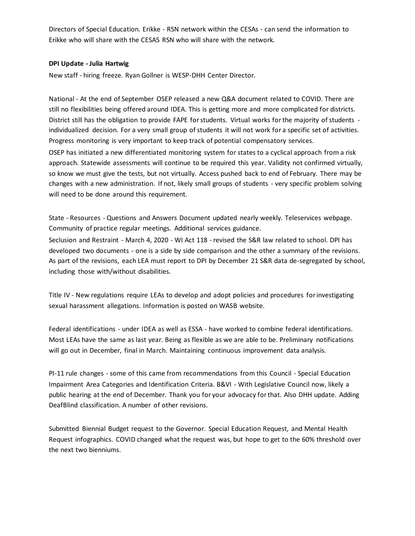Directors of Special Education. Erikke - RSN network within the CESAs - can send the information to Erikke who will share with the CESA5 RSN who will share with the network.

## **DPI Update - Julia Hartwig**

New staff - hiring freeze. Ryan Gollner is WESP-DHH Center Director.

National - At the end of September OSEP released a new Q&A document related to COVID. There are still no flexibilities being offered around IDEA. This is getting more and more complicated for districts. District still has the obligation to provide FAPE for students. Virtual works for the majority of students individualized decision. For a very small group of students it will not work for a specific set of activities. Progress monitoring is very important to keep track of potential compensatory services. OSEP has initiated a new differentiated monitoring system for states to a cyclical approach from a risk approach. Statewide assessments will continue to be required this year. Validity not confirmed virtually, so know we must give the tests, but not virtually. Access pushed back to end of February. There may be changes with a new administration. If not, likely small groups of students - very specific problem solving will need to be done around this requirement.

State - Resources - Questions and Answers Document updated nearly weekly. Teleservices webpage. Community of practice regular meetings. Additional services guidance.

Seclusion and Restraint - March 4, 2020 - WI Act 118 - revised the S&R law related to school. DPI has developed two documents - one is a side by side comparison and the other a summary of the revisions. As part of the revisions, each LEA must report to DPI by December 21 S&R data de-segregated by school, including those with/without disabilities.

Title IV - New regulations require LEAs to develop and adopt policies and procedures for investigating sexual harassment allegations. Information is posted on WASB website.

Federal identifications - under IDEA as well as ESSA - have worked to combine federal identifications. Most LEAs have the same as last year. Being as flexible as we are able to be. Preliminary notifications will go out in December, final in March. Maintaining continuous improvement data analysis.

PI-11 rule changes -some of this came from recommendations from this Council - Special Education Impairment Area Categories and Identification Criteria. B&VI - With Legislative Council now, likely a public hearing at the end of December. Thank you for your advocacy for that. Also DHH update. Adding DeafBlind classification. A number of other revisions.

Submitted Biennial Budget request to the Governor. Special Education Request, and Mental Health Request infographics. COVID changed what the request was, but hope to get to the 60% threshold over the next two bienniums.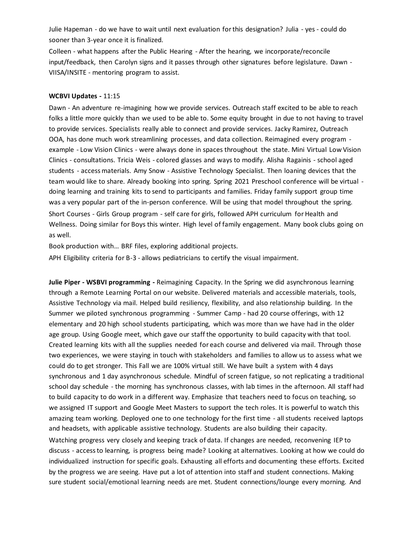Julie Hapeman - do we have to wait until next evaluation for this designation? Julia - yes - could do sooner than 3-year once it is finalized.

Colleen - what happens after the Public Hearing - After the hearing, we incorporate/reconcile input/feedback, then Carolyn signs and it passes through other signatures before legislature. Dawn - VIISA/INSITE - mentoring program to assist.

#### **WCBVI Updates -** 11:15

Dawn - An adventure re-imagining how we provide services. Outreach staff excited to be able to reach folks a little more quickly than we used to be able to. Some equity brought in due to not having to travel to provide services. Specialists really able to connect and provide services. Jacky Ramirez, Outreach OOA, has done much work streamlining processes, and data collection. Reimagined every program example - Low Vision Clinics - were always done in spaces throughout the state. Mini Virtual Low Vision Clinics - consultations. Tricia Weis - colored glasses and ways to modify. Alisha Ragainis - school aged students - access materials. Amy Snow - Assistive Technology Specialist. Then loaning devices that the team would like to share. Already booking into spring. Spring 2021 Preschool conference will be virtual doing learning and training kits to send to participants and families. Friday family support group time was a very popular part of the in-person conference. Will be using that model throughout the spring. Short Courses - Girls Group program - self care for girls, followed APH curriculum for Health and Wellness. Doing similar for Boys this winter. High level of family engagement. Many book clubs going on as well.

Book production with… BRF files, exploring additional projects.

APH Eligibility criteria for B-3 - allows pediatricians to certify the visual impairment.

**Julie Piper - WSBVI programming -** Reimagining Capacity. In the Spring we did asynchronous learning through a Remote Learning Portal on our website. Delivered materials and accessible materials, tools, Assistive Technology via mail. Helped build resiliency, flexibility, and also relationship building. In the Summer we piloted synchronous programming - Summer Camp - had 20 course offerings, with 12 elementary and 20 high school students participating, which was more than we have had in the older age group. Using Google meet, which gave our staff the opportunity to build capacity with that tool. Created learning kits with all the supplies needed for each course and delivered via mail. Through those two experiences, we were staying in touch with stakeholders and families to allow us to assess what we could do to get stronger. This Fall we are 100% virtual still. We have built a system with 4 days synchronous and 1 day asynchronous schedule. Mindful of screen fatigue, so not replicating a traditional school day schedule - the morning has synchronous classes, with lab times in the afternoon. All staff had to build capacity to do work in a different way. Emphasize that teachers need to focus on teaching, so we assigned IT support and Google Meet Masters to support the tech roles. It is powerful to watch this amazing team working. Deployed one to one technology for the first time - all students received laptops and headsets, with applicable assistive technology. Students are also building their capacity. Watching progress very closely and keeping track of data. If changes are needed, reconvening IEP to discuss - access to learning, is progress being made? Looking at alternatives. Looking at how we could do individualized instruction for specific goals. Exhausting all efforts and documenting these efforts. Excited by the progress we are seeing. Have put a lot of attention into staff and student connections. Making sure student social/emotional learning needs are met. Student connections/lounge every morning. And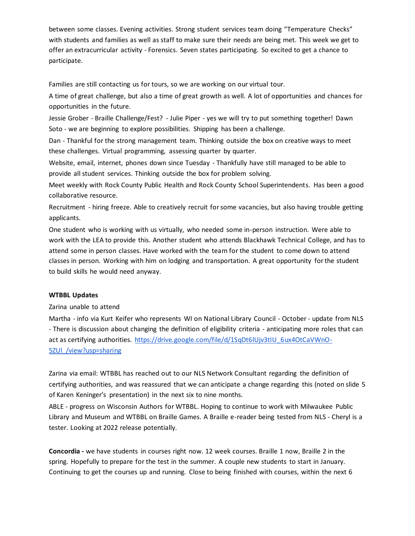between some classes. Evening activities. Strong student services team doing "Temperature Checks" with students and families as well as staff to make sure their needs are being met. This week we get to offer an extracurricular activity - Forensics. Seven states participating. So excited to get a chance to participate.

Families are still contacting us for tours, so we are working on our virtual tour.

A time of great challenge, but also a time of great growth as well. A lot of opportunities and chances for opportunities in the future.

Jessie Grober - Braille Challenge/Fest? - Julie Piper - yes we will try to put something together! Dawn Soto - we are beginning to explore possibilities. Shipping has been a challenge.

Dan - Thankful for the strong management team. Thinking outside the box on creative ways to meet these challenges. Virtual programming, assessing quarter by quarter.

Website, email, internet, phones down since Tuesday - Thankfully have still managed to be able to provide all student services. Thinking outside the box for problem solving.

Meet weekly with Rock County Public Health and Rock County School Superintendents. Has been a good collaborative resource.

Recruitment - hiring freeze. Able to creatively recruit for some vacancies, but also having trouble getting applicants.

One student who is working with us virtually, who needed some in-person instruction. Were able to work with the LEA to provide this. Another student who attends Blackhawk Technical College, and has to attend some in person classes. Have worked with the team for the student to come down to attend classes in person. Working with him on lodging and transportation. A great opportunity for the student to build skills he would need anyway.

# **WTBBL Updates**

### Zarina unable to attend

Martha - info via Kurt Keifer who represents WI on National Library Council - October - update from NLS - There is discussion about changing the definition of eligibility criteria - anticipating more roles that can act as certifying authorities. [https://drive.google.com/file/d/1SqDt6lUjv3tIU\\_6ux4OtCaVWnO-](https://drive.google.com/file/d/1SqDt6lUjv3tIU_6ux4OtCaVWnO-5ZUl_/view?usp=sharing)[5ZUl\\_/view?usp=sharing](https://drive.google.com/file/d/1SqDt6lUjv3tIU_6ux4OtCaVWnO-5ZUl_/view?usp=sharing)

Zarina via email: WTBBL has reached out to our NLS Network Consultant regarding the definition of certifying authorities, and was reassured that we can anticipate a change regarding this (noted on slide 5 of Karen Keninger's presentation) in the next six to nine months.

ABLE - progress on Wisconsin Authors for WTBBL. Hoping to continue to work with Milwaukee Public Library and Museum and WTBBL on Braille Games. A Braille e-reader being tested from NLS - Cheryl is a tester. Looking at 2022 release potentially.

**Concordia -** we have students in courses right now. 12 week courses. Braille 1 now, Braille 2 in the spring. Hopefully to prepare for the test in the summer. A couple new students to start in January. Continuing to get the courses up and running. Close to being finished with courses, within the next 6